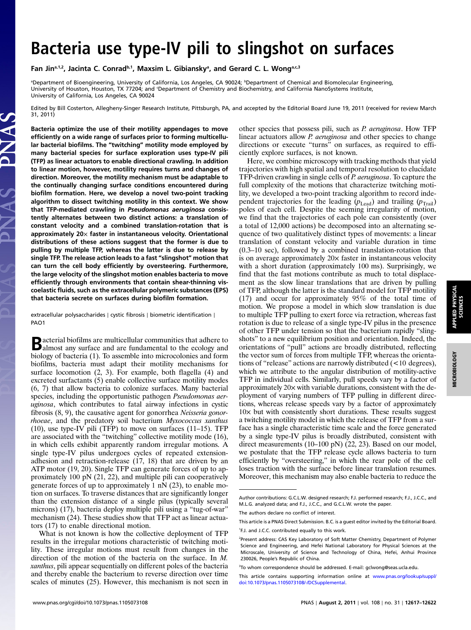Fan Jin<sup>a,1,2</sup>, Jacinta C. Conrad<sup>b,1</sup>, Maxsim L. Gibiansky<sup>a</sup>, and Gerard C. L. Wong<sup>a,c,3</sup>

<sup>a</sup>Department of Bioengineering, University of California, Los Angeles, CA 90024; <sup>b</sup>Department of Chemical and Biomolecular Engineering, University of Houston, Houston, TX 77204; and 'Department of Chemistry and Biochemistry, and California NanoSystems Institute, University of California, Los Angeles, CA 90024

Edited by Bill Costerton, Allegheny-Singer Research Institute, Pittsburgh, PA, and accepted by the Editorial Board June 19, 2011 (received for review March 31, 2011)

Bacteria optimize the use of their motility appendages to move efficiently on a wide range of surfaces prior to forming multicellular bacterial biofilms. The "twitching" motility mode employed by many bacterial species for surface exploration uses type-IV pili (TFP) as linear actuators to enable directional crawling. In addition to linear motion, however, motility requires turns and changes of direction. Moreover, the motility mechanism must be adaptable to the continually changing surface conditions encountered during biofilm formation. Here, we develop a novel two-point tracking algorithm to dissect twitching motility in this context. We show that TFP-mediated crawling in Pseudomonas aeruginosa consistently alternates between two distinct actions: a translation of constant velocity and a combined translation-rotation that is approximately  $20\times$  faster in instantaneous velocity. Orientational distributions of these actions suggest that the former is due to pulling by multiple TFP, whereas the latter is due to release by single TFP. The release action leads to a fast "slingshot" motion that can turn the cell body efficiently by oversteering. Furthermore, the large velocity of the slingshot motion enables bacteria to move efficiently through environments that contain shear-thinning viscoelastic fluids, such as the extracellular polymeric substances (EPS) that bacteria secrete on surfaces during biofilm formation.

extracellular polysaccharides ∣ cystic fibrosis ∣ biometric identification ∣ PAO1

Bacterial biofilms are multicellular communities that adhere to almost any surface and are fundamental to the ecology and biology of bacteria (1). To assemble into microcolonies and form biofilms, bacteria must adapt their motility mechanisms for surface locomotion (2, 3). For example, both flagella (4) and excreted surfactants (5) enable collective surface motility modes (6, 7) that allow bacteria to colonize surfaces. Many bacterial species, including the opportunistic pathogen Pseudomonas aeruginosa, which contributes to fatal airway infections in cystic fibrosis (8, 9), the causative agent for gonorrhea Neisseria gonorrhoeae, and the predatory soil bacterium Myxococcus xanthus (10), use type-IV pili (TFP) to move on surfaces (11–15). TFP are associated with the "twitching" collective motility mode (16), in which cells exhibit apparently random irregular motions. A single type-IV pilus undergoes cycles of repeated extensionadhesion and retraction-release (17, 18) that are driven by an ATP motor (19, 20). Single TFP can generate forces of up to approximately 100 pN (21, 22), and multiple pili can cooperatively generate forces of up to approximately 1 nN (23), to enable motion on surfaces. To traverse distances that are significantly longer than the extension distance of a single pilus (typically several microns) (17), bacteria deploy multiple pili using a "tug-of-war" mechanism (24). These studies show that TFP act as linear actuators (17) to enable directional motion.

What is not known is how the collective deployment of TFP results in the irregular motions characteristic of twitching motility. These irregular motions must result from changes in the direction of the motion of the bacteria on the surface. In M. xanthus, pili appear sequentially on different poles of the bacteria and thereby enable the bacterium to reverse direction over time scales of minutes (25). However, this mechanism is not seen in other species that possess pili, such as P. aeruginosa. How TFP linear actuators allow *P. aeruginosa* and other species to change directions or execute "turns" on surfaces, as required to efficiently explore surfaces, is not known.

Here, we combine microscopy with tracking methods that yield trajectories with high spatial and temporal resolution to elucidate TFP-driven crawling in single cells of *P. aeruginosa*. To capture the full complexity of the motions that characterize twitching motility, we developed a two-point tracking algorithm to record independent trajectories for the leading  $(p_{\text{lead}})$  and trailing  $(p_{\text{trail}})$ poles of each cell. Despite the seeming irregularity of motion, we find that the trajectories of each pole can consistently (over a total of 12,000 actions) be decomposed into an alternating sequence of two qualitatively distinct types of movements: a linear translation of constant velocity and variable duration in time (0.3–10 sec), followed by a combined translation-rotation that is on average approximately  $20 \times$  faster in instantaneous velocity with a short duration (approximately 100 ms). Surprisingly, we find that the fast motions contribute as much to total displacement as the slow linear translations that are driven by pulling of TFP, although the latter is the standard model for TFP motility (17) and occur for approximately 95% of the total time of motion. We propose a model in which slow translation is due to multiple TFP pulling to exert force via retraction, whereas fast rotation is due to release of a single type-IV pilus in the presence of other TFP under tension so that the bacterium rapidly "slingshots" to a new equilibrium position and orientation. Indeed, the orientations of "pull" actions are broadly distributed, reflecting the vector sum of forces from multiple TFP, whereas the orientations of "release" actions are narrowly distributed (<<sup>10</sup> degrees), which we attribute to the angular distribution of motility-active TFP in individual cells. Similarly, pull speeds vary by a factor of approximately 20× with variable durations, consistent with the deployment of varying numbers of TFP pulling in different directions, whereas release speeds vary by a factor of approximately 10× but with consistently short durations. These results suggest a twitching motility model in which the release of TFP from a surface has a single characteristic time scale and the force generated by a single type-IV pilus is broadly distributed, consistent with direct measurements (10–100 pN) (22, 23). Based on our model, we postulate that the TFP release cycle allows bacteria to turn efficiently by "oversteering," in which the rear pole of the cell loses traction with the surface before linear translation resumes. Moreover, this mechanism may also enable bacteria to reduce the

Author contributions: G.C.L.W. designed research; F.J. performed research; F.J., J.C.C., and M.L.G. analyzed data; and F.J., J.C.C., and G.C.L.W. wrote the paper.

The authors declare no conflict of interest.

This article is a PNAS Direct Submission. B.C. is a guest editor invited by the Editorial Board. 1 F.J. and J.C.C. contributed equally to this work.

<sup>&</sup>lt;sup>2</sup>Present address: CAS Key Laboratory of Soft Matter Chemistry, Department of Polymer Science and Engineering, and Hefei National Laboratory for Physical Sciences at the Microscale, University of Science and Technology of China, Hefei, Anhui Province 230026, People's Republic of China.

<sup>3</sup> To whom correspondence should be addressed. E-mail: gclwong@seas.ucla.edu.

This article contains supporting information online at [www.pnas.org/lookup/suppl/](http://www.pnas.org/lookup/suppl/doi:10.1073/pnas.1105073108/-/DCSupplemental) [doi:10.1073/pnas.1105073108/-/DCSupplemental.](http://www.pnas.org/lookup/suppl/doi:10.1073/pnas.1105073108/-/DCSupplemental)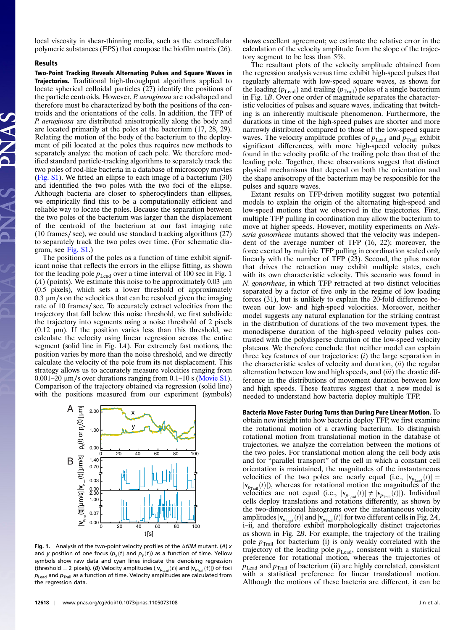local viscosity in shear-thinning media, such as the extracellular polymeric substances (EPS) that compose the biofilm matrix (26).

## Results

Two-Point Tracking Reveals Alternating Pulses and Square Waves in **Trajectories.** Traditional high-throughput algorithms applied to locate spherical colloidal particles  $(27)$  identify the positions of the particle centroids. However, P. aeruginosa are rod-shaped and therefore must be characterized by both the positions of the centroids and the orientations of the cells. In addition, the TFP of P. aeruginosa are distributed anisotropically along the body and are located primarily at the poles at the bacterium (17, 28, 29). Relating the motion of the body of the bacterium to the deployment of pili located at the poles thus requires new methods to separately analyze the motion of each pole. We therefore modified standard particle-tracking algorithms to separately track the two poles of rod-like bacteria in a database of microscopy movies [\(Fig. S1\)](http://www.pnas.org/lookup/suppl/doi:10.1073/pnas.1105073108/-/DCSupplemental/pnas.1105073108_SI.pdf?targetid=SF1). We fitted an ellipse to each image of a bacterium (30) and identified the two poles with the two foci of the ellipse. Although bacteria are closer to spherocylinders than ellipses, we empirically find this to be a computationally efficient and reliable way to locate the poles. Because the separation between the two poles of the bacterium was larger than the displacement of the centroid of the bacterium at our fast imaging rate (10 frames∕ sec), we could use standard tracking algorithms (27) to separately track the two poles over time. (For schematic diagram, see [Fig. S1](http://www.pnas.org/lookup/suppl/doi:10.1073/pnas.1105073108/-/DCSupplemental/pnas.1105073108_SI.pdf?targetid=SF1).)

The positions of the poles as a function of time exhibit significant noise that reflects the errors in the ellipse fitting, as shown for the leading pole  $p_{\text{lead}}$  over a time interval of 100 sec in Fig. 1 (A) (points). We estimate this noise to be approximately 0.03  $\mu$ m (0.5 pixels), which sets a lower threshold of approximately 0.3 μm∕s on the velocities that can be resolved given the imaging rate of 10 frames∕ sec. To accurately extract velocities from the trajectory that fall below this noise threshold, we first subdivide the trajectory into segments using a noise threshold of 2 pixels  $(0.12 \mu m)$ . If the position varies less than this threshold, we calculate the velocity using linear regression across the entire segment (solid line in Fig. 1A). For extremely fast motions, the position varies by more than the noise threshold, and we directly calculate the velocity of the pole from its net displacement. This strategy allows us to accurately measure velocities ranging from <sup>0</sup>.001–<sup>20</sup> <sup>μ</sup>m∕s over durations ranging from 0.1–10 s ([Movie S1\)](http://www.pnas.org/lookup/suppl/doi:10.1073/pnas.1105073108/-/DCSupplemental/pnas.1105073108_SI.pdf?targetid=SM1). Comparison of the trajectory obtained via regression (solid line) with the positions measured from our experiment (symbols)



Fig. 1. Analysis of the two-point velocity profiles of the  $\Delta$ fliM mutant. (A) x and y position of one focus  $(p_x(t)$  and  $p_y(t)$ ) as a function of time. Yellow symbols show raw data and cyan lines indicate the denoising regression (threshold = 2 pixels). (B) Velocity amplitudes ( $|v_{p_{lead}}(t)|$  and  $|v_{p_{tail}}(t)|$ ) of foci  $p_{\text{lead}}$  and  $p_{\text{trail}}$  as a function of time. Velocity amplitudes are calculated from the regression data.

shows excellent agreement; we estimate the relative error in the calculation of the velocity amplitude from the slope of the trajectory segment to be less than 5%.

The resultant plots of the velocity amplitude obtained from the regression analysis versus time exhibit high-speed pulses that regularly alternate with low-speed square waves, as shown for the leading ( $p_{\text{lead}}$ ) and trailing ( $p_{\text{Tail}}$ ) poles of a single bacterium in Fig. 1B. Over one order of magnitude separates the characteristic velocities of pulses and square waves, indicating that twitching is an inherently multiscale phenomenon. Furthermore, the durations in time of the high-speed pulses are shorter and more narrowly distributed compared to those of the low-speed square waves. The velocity amplitude profiles of  $p_{\text{Lead}}$  and  $p_{\text{Trail}}$  exhibit significant differences, with more high-speed velocity pulses found in the velocity profile of the trailing pole than that of the leading pole. Together, these observations suggest that distinct physical mechanisms that depend on both the orientation and the shape anisotropy of the bacterium may be responsible for the pulses and square waves.

Extant results on TFP-driven motility suggest two potential models to explain the origin of the alternating high-speed and low-speed motions that we observed in the trajectories. First, multiple TFP pulling in coordination may allow the bacterium to move at higher speeds. However, motility experiments on Neisseria gonorrheae mutants showed that the velocity was independent of the average number of TFP (16, 22); moreover, the force exerted by multiple TFP pulling in coordination scaled only linearly with the number of TFP (23). Second, the pilus motor that drives the retraction may exhibit multiple states, each with its own characteristic velocity. This scenario was found in N. gonorrheae, in which TFP retracted at two distinct velocities separated by a factor of five only in the regime of low loading forces (31), but is unlikely to explain the 20-fold difference between our low- and high-speed velocities. Moreover, neither model suggests any natural explanation for the striking contrast in the distribution of durations of the two movement types, the monodisperse duration of the high-speed velocity pulses contrasted with the polydisperse duration of the low-speed velocity plateaus. We therefore conclude that neither model can explain three key features of our trajectories:  $(i)$  the large separation in the characteristic scales of velocity and duration,  $(ii)$  the regular alternation between low and high speeds, and *(iii)* the drastic difference in the distributions of movement duration between low and high speeds. These features suggest that a new model is needed to understand how bacteria deploy multiple TFP.

Bacteria Move Faster During Turns than During Pure Linear Motion. To obtain new insight into how bacteria deploy TFP, we first examine the rotational motion of a crawling bacterium. To distinguish rotational motion from translational motion in the database of trajectories, we analyze the correlation between the motions of the two poles. For translational motion along the cell body axis and for "parallel transport" of the cell in which a constant cell orientation is maintained, the magnitudes of the instantaneous velocities of the two poles are nearly equal (i.e.,  $|v_{p_{\text{lead}}}(t)| =$  $|v_{p_{\text{Train}}}(t)|$ , whereas for rotational motion the magnitudes of the velocities are not equal (i.e.,  $|\mathbf{v}_{p_{\text{lead}}}(t)| \neq |\mathbf{v}_{p_{\text{Tail}}}(t)|$ ). Individual cells deploy translations and rotations differently, as shown by the two-dimensional histograms over the instantaneous velocity amplitudes  $|v_{p_{\text{lead}}}(t)|$  and  $|v_{p_{\text{Total}}}(t)|$  for two different cells in Fig. 2A, i–ii, and therefore exhibit morphologically distinct trajectories as shown in Fig. 2B. For example, the trajectory of the trailing pole  $p_{\text{Tail}}$  for bacterium (i) is only weakly correlated with the trajectory of the leading pole  $p_{\text{Lead}}$ , consistent with a statistical preference for rotational motion, whereas the trajectories of  $p_{\text{lead}}$  and  $p_{\text{Tail}}$  of bacterium (ii) are highly correlated, consistent with a statistical preference for linear translational motion. Although the motions of these bacteria are different, it can be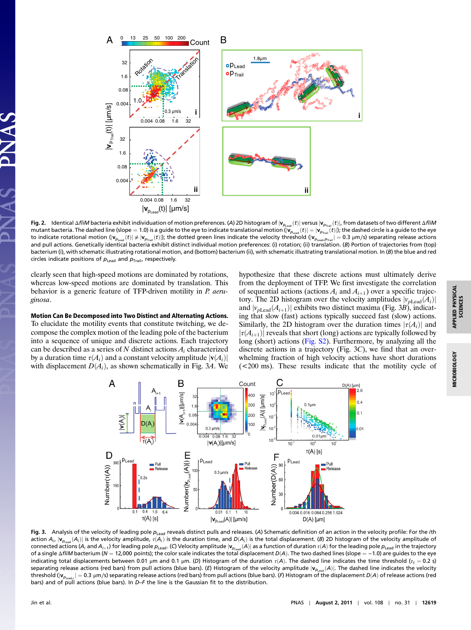

<sup>0</sup> 13 25 50 100 200



Fig. 2. Identical ΔfliM bacteria exhibit individuation of motion preferences. (A) 2D histogram of  $|{\bf v}_{\rho_{\rm lead}}(t)|$  versus  $|{\bf v}_{\rho_{\rm real}}(t)|$ , from datasets of two different ΔfliM mutant bacteria. The dashed line (slope = 1.0) is a guide to the eye to indicate translational motion ( $|{\bf v}_{p_{\text{lead}}}(t)| = |{\bf v}_{p_{\text{train}}}(t)|$ ); the dashed circle is a guide to the eye to indicate rotational motion ( $|v_{p_{\text{lead}}}(t)| \neq |v_{p_{\text{final}}}(t)|$ ); the dotted green lines indicate the velocity threshold ( $|v_{p_{\text{lead}}p_{\text{final}}}| = 0.3 \ \mu \text{m/s}$ ) separating release actions and pull actions. Genetically identical bacteria exhibit distinct individual motion preferences: (i) rotation; (ii) translation. (B) Portion of trajectories from (top) bacterium (i), with schematic illustrating rotational motion, and (bottom) bacterium (ii), with schematic illustrating translational motion. In (B) the blue and red circles indicate positions of  $p_{\text{lead}}$  and  $p_{\text{trail}}$ , respectively.

B

Count

clearly seen that high-speed motions are dominated by rotations, whereas low-speed motions are dominated by translation. This behavior is a generic feature of TFP-driven motility in P. aeruginosa.

Motion Can Be Decomposed into Two Distinct and Alternating Actions. To elucidate the motility events that constitute twitching, we decompose the complex motion of the leading pole of the bacterium into a sequence of unique and discrete actions. Each trajectory can be described as a series of N distinct actions  $A_i$  characterized by a duration time  $\tau(A_i)$  and a constant velocity amplitude  $|\mathbf{v}(A_i)|$ with displacement  $D(A_i)$ , as shown schematically in Fig. 3A. We

hypothesize that these discrete actions must ultimately derive from the deployment of TFP. We first investigate the correlation of sequential actions (actions  $A_i$  and  $A_{i+1}$ ) over a specific trajectory. The 2D histogram over the velocity amplitudes  $|v_{p\text{lead}}(A_i)|$ and  $|v_{p\text{lead}}(A_{i+1})|$  exhibits two distinct maxima (Fig. 3B), indicating that slow (fast) actions typically succeed fast (slow) actions. Similarly, the 2D histogram over the duration times  $|\tau(A_i)|$  and  $|\tau(A_{i+1})|$  reveals that short (long) actions are typically followed by long (short) actions [\(Fig. S2](http://www.pnas.org/lookup/suppl/doi:10.1073/pnas.1105073108/-/DCSupplemental/pnas.1105073108_SI.pdf?targetid=SF2)). Furthermore, by analyzing all the discrete actions in a trajectory (Fig. 3C), we find that an overwhelming fraction of high velocity actions have short durations (<200 ms). These results indicate that the motility cycle of



Fig. 3. Analysis of the velocity of leading pole  $p_{lead}$  reveals distinct pulls and releases. (A) Schematic definition of an action in the velocity profile: For the *i*th action  $A_i$ ,  $|v_{p_{\text{last}}}(A_i)|$  is the velocity amplitude,  $\tau(A_i)$  is the duration time, and  $D(A_i)$  is the total displacement. (B) 2D histogram of the velocity amplitude of connected actions (A<sub>i</sub> and A<sub>i+1</sub>) for leading pole  $p_{\text{lead}}$ . (C) Velocity amplitude  $|\mathbf{v}_{p_{\text{lead}}}(\mathsf{A})|$  as a function of duration  $\tau(\mathsf{A})$  for the leading pole  $p_{\text{lead}}$  in the trajectory of a single ΔfliM bacterium (N = 12,000 points); the color scale indicates the total displacement  $D(A)$ . The two dashed lines (slope = -1.0) are guides to the eye indicating total displacements between 0.01 μm and 0.1 μm. (D) Histogram of the duration  $\tau(A)$ . The dashed line indicates the time threshold (τ<sub>c</sub> = 0.2 s) separating release actions (red bars) from pull actions (blue bars). (E) Histogram of the velocity amplitude  $|v_{p_{\text{lead}}}(A)|$ . The dashed line indicates the velocity threshold ( $|v_{p_{\text{leadc}}}| = 0.3 \text{ }\mu\text{m/s}$ ) separating release actions (red bars) from pull actions (blue bars). (F) Histogram of the displacement  $D(A)$  of release actions (red bars) and of pull actions (blue bars). In D–F the line is the Gaussian fit to the distribution.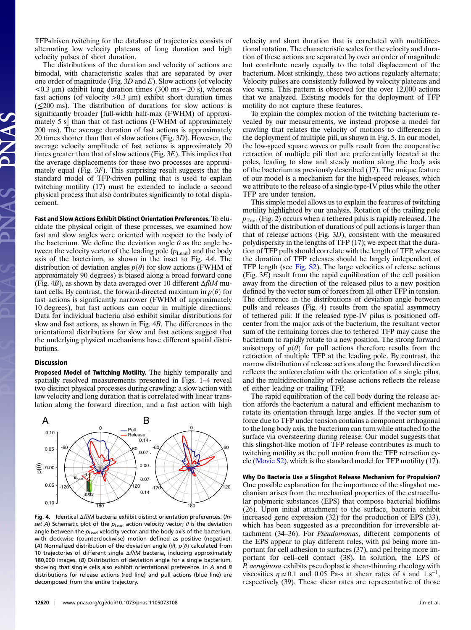TFP-driven twitching for the database of trajectories consists of alternating low velocity plateaus of long duration and high velocity pulses of short duration.

The distributions of the duration and velocity of actions are bimodal, with characteristic scales that are separated by over one order of magnitude (Fig.  $3D$  and E). Slow actions (of velocity  $< 0.3 \mu m$ ) exhibit long duration times (300 ms – 20 s), whereas fast actions (of velocity  $>0.3 \mu m$ ) exhibit short duration times (≤200 ms). The distribution of durations for slow actions is significantly broader [full-width half-max (FWHM) of approximately 5 s] than that of fast actions (FWHM of approximately 200 ms). The average duration of fast actions is approximately 20 times shorter than that of slow actions (Fig. 3D). However, the average velocity amplitude of fast actions is approximately 20 times greater than that of slow actions (Fig.  $3E$ ). This implies that the average displacements for these two processes are approximately equal (Fig. 3F). This surprising result suggests that the standard model of TFP-driven pulling that is used to explain twitching motility (17) must be extended to include a second physical process that also contributes significantly to total displacement.

Fast and Slow Actions Exhibit Distinct Orientation Preferences. To elucidate the physical origin of these processes, we examined how fast and slow angles were oriented with respect to the body of the bacterium. We define the deviation angle  $\theta$  as the angle between the velocity vector of the leading pole  $(p_{\text{lead}})$  and the body axis of the bacterium, as shown in the inset to Fig. 4A. The distribution of deviation angles  $p(\theta)$  for slow actions (FWHM of approximately 90 degrees) is biased along a broad forward cone (Fig. 4B), as shown by data averaged over 10 different  $\Delta f$ *liM* mutant cells. By contrast, the forward-directed maximum in  $p(\theta)$  for fast actions is significantly narrower (FWHM of approximately 10 degrees), but fast actions can occur in multiple directions. Data for individual bacteria also exhibit similar distributions for slow and fast actions, as shown in Fig. 4B. The differences in the orientational distributions for slow and fast actions suggest that the underlying physical mechanisms have different spatial distributions.

## **Discussion**

Proposed Model of Twitching Motility. The highly temporally and spatially resolved measurements presented in Figs. 1–4 reveal two distinct physical processes during crawling: a slow action with low velocity and long duration that is correlated with linear translation along the forward direction, and a fast action with high



Fig. 4. Identical ΔfliM bacteria exhibit distinct orientation preferences. (Inset A) Schematic plot of the  $p_{\text{lead}}$  action velocity vector;  $\theta$  is the deviation angle between the  $p_{\text{lead}}$  velocity vector and the body axis of the bacterium, with clockwise (counterclockwise) motion defined as positive (negative). (A) Normalized distribution of the deviation angle ( $\theta$ ),  $p(\theta)$  calculated from 10 trajectories of different single ΔfliM bacteria, including approximately 180,000 images. (B) Distribution of deviation angle for a single bacterium, showing that single cells also exhibit orientational preference. In A and B distributions for release actions (red line) and pull actions (blue line) are decomposed from the entire trajectory.

velocity and short duration that is correlated with multidirectional rotation. The characteristic scales for the velocity and duration of these actions are separated by over an order of magnitude but contribute nearly equally to the total displacement of the bacterium. Most strikingly, these two actions regularly alternate: Velocity pulses are consistently followed by velocity plateaus and vice versa. This pattern is observed for the over 12,000 actions that we analyzed. Existing models for the deployment of TFP motility do not capture these features.

To explain the complex motion of the twitching bacterium revealed by our measurements, we instead propose a model for crawling that relates the velocity of motions to differences in the deployment of multiple pili, as shown in Fig. 5. In our model, the low-speed square waves or pulls result from the cooperative retraction of multiple pili that are preferentially located at the poles, leading to slow and steady motion along the body axis of the bacterium as previously described (17). The unique feature of our model is a mechanism for the high-speed releases, which we attribute to the release of a single type-IV pilus while the other TFP are under tension.

This simple model allows us to explain the features of twitching motility highlighted by our analysis. Rotation of the trailing pole  $p_{\text{Tail}}$  (Fig. 2) occurs when a tethered pilus is rapidly released. The width of the distribution of durations of pull actions is larger than that of release actions (Fig. 3D), consistent with the measured polydispersity in the lengths of TFP (17); we expect that the duration of TFP pulls should correlate with the length of TFP, whereas the duration of TFP releases should be largely independent of TFP length (see [Fig. S2](http://www.pnas.org/lookup/suppl/doi:10.1073/pnas.1105073108/-/DCSupplemental/pnas.1105073108_SI.pdf?targetid=SF2)). The large velocities of release actions (Fig. 3E) result from the rapid equilibration of the cell position away from the direction of the released pilus to a new position defined by the vector sum of forces from all other TFP in tension. The difference in the distributions of deviation angle between pulls and releases (Fig. 4) results from the spatial asymmetry of tethered pili: If the released type-IV pilus is positioned offcenter from the major axis of the bacterium, the resultant vector sum of the remaining forces due to tethered TFP may cause the bacterium to rapidly rotate to a new position. The strong forward anisotropy of  $p(\theta)$  for pull actions therefore results from the retraction of multiple TFP at the leading pole. By contrast, the narrow distribution of release actions along the forward direction reflects the anticorrelation with the orientation of a single pilus, and the multidirectionality of release actions reflects the release of either leading or trailing TFP.

The rapid equilibration of the cell body during the release action affords the bacterium a natural and efficient mechanism to rotate its orientation through large angles. If the vector sum of force due to TFP under tension contains a component orthogonal to the long body axis, the bacterium can turn while attached to the surface via oversteering during release. Our model suggests that this slingshot-like motion of TFP release contributes as much to twitching motility as the pull motion from the TFP retraction cycle ([Movie S2\)](http://www.pnas.org/lookup/suppl/doi:10.1073/pnas.1105073108/-/DCSupplemental/pnas.1105073108_SI.pdf?targetid=SM2), which is the standard model for TFP motility (17).

Why Do Bacteria Use a Slingshot Release Mechanism for Propulsion? One possible explanation for the importance of the slingshot mechanism arises from the mechanical properties of the extracellular polymeric substances (EPS) that compose bacterial biofilms (26). Upon initial attachment to the surface, bacteria exhibit increased gene expression (32) for the production of EPS (33), which has been suggested as a precondition for irreversible attachment (34–36). For Pseudomonas, different components of the EPS appear to play different roles, with psl being more important for cell adhesion to surfaces (37), and pel being more important for cell–cell contact (38). In solution, the EPS of P. aeruginosa exhibits pseudoplastic shear-thinning rheology with viscosities  $\eta \approx 0.1$  and 0.05 Pa-s at shear rates of s and 1 s<sup>-1</sup>, respectively (39). These shear rates are representative of those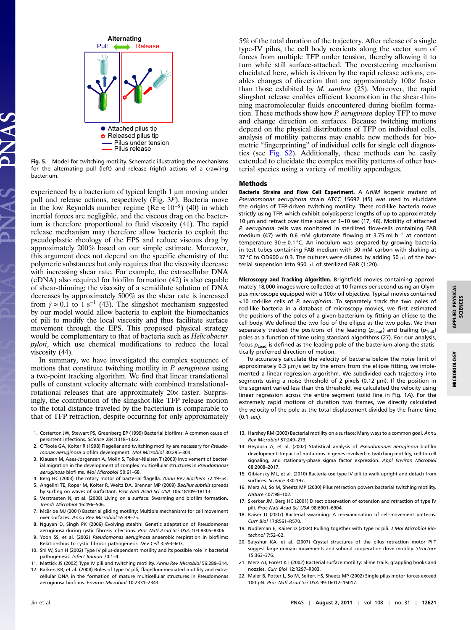

Fig. 5. Model for twitching motility. Schematic illustrating the mechanisms for the alternating pull (left) and release (right) actions of a crawling bacterium.

experienced by a bacterium of typical length 1 μm moving under pull and release actions, respectively (Fig. 3F). Bacteria move in the low Reynolds number regime (Re  $\approx 10^{-5}$ ) (40) in which inertial forces are negligible, and the viscous drag on the bacterium is therefore proportional to fluid viscosity (41). The rapid release mechanism may therefore allow bacteria to exploit the pseudoplastic rheology of the EPS and reduce viscous drag by approximately 200% based on our simple estimate. Moreover, this argument does not depend on the specific chemistry of the polymeric substances but only requires that the viscosity decrease with increasing shear rate. For example, the extracellular DNA (eDNA) also required for biofilm formation (42) is also capable of shear-thinning; the viscosity of a semidilute solution of DNA decreases by approximately 500% as the shear rate is increased from  $\dot{\gamma} \approx 0.1$  to 1 s<sup>-1</sup> (43). The slingshot mechanism suggested by our model would allow bacteria to exploit the biomechanics of pili to modify the local viscosity and thus facilitate surface movement through the EPS. This proposed physical strategy would be complementary to that of bacteria such as Helicobacter pylori, which use chemical modifications to reduce the local viscosity (44).

In summary, we have investigated the complex sequence of motions that constitute twitching motility in P. aeruginosa using a two-point tracking algorithm. We find that linear translational pulls of constant velocity alternate with combined translationalrotational releases that are approximately  $20\times$  faster. Surprisingly, the contribution of the slingshot-like TFP release motion to the total distance traveled by the bacterium is comparable to that of TFP retraction, despite occurring for only approximately

- 1. Costerton JW, Stewart PS, Greenberg EP (1999) Bacterial biofilms: A common cause of persistent infections. Science 284:1318–1322.
- 2. O'Toole GA, Kolter R (1998) Flagellar and twitching motility are necessary for Pseudomonas aeruginosa biofilm development. Mol Microbiol 30:295–304.
- 3. Klausen M, Aaes-Jørgensen A, Molin S, Tolker-Nielsen T (2003) Involvement of bacterial migration in the development of complex multicellular structures in Pseudomonas aeruginosa biofilms. Mol Microbiol 50:61–68.
- 4. Berg HC (2003) The rotary motor of bacterial flagella. Annu Rev Biochem 72:19–54.
- 5. Angelini TE, Roper M, Kolter R, Weitz DA, Brenner MP (2009) Bacillus subtilis spreads by surfing on waves of surfactant. Proc Natl Acad Sci USA 106:18109–18113.
- 6. Verstraeten N, et al. (2008) Living on a surface: Swarming and biofilm formation. Trends Microbiol 16:496–506.
- 7. McBride MJ (2001) Bacterial gliding motility: Multiple mechanisms for cell movement over surfaces. Annu Rev Microbiol 55:49–75.
- 8. Nguyen D, Singh PK (2006) Evolving stealth: Genetic adaptation of Pseudomonas aeruginosa during cystic fibrosis infections. Proc Natl Acad Sci USA 103:8305–8306. 9. Yoon SS, et al. (2002) Pseudomonas aeruginosa anaerobic respiration in biofilms:
- Relationships to cystic fibrosis pathogenesis. Dev Cell 3:593–603.
- 10. Shi W, Sun H (2002) Type IV pilus-dependent motility and its possible role in bacterial pathogenesis. Infect Immun 70:1–4.
- 11. Mattick JS (2002) Type IV pili and twitching motility. Annu Rev Microbiol 56:289–314.
- 12. Barken KB, et al. (2008) Roles of type IV pili, flagellum-mediated motility and extracellular DNA in the formation of mature multicellular structures in Pseudomonas aeruginosa biofilms. Environ Microbiol 10:2331–2343.

5% of the total duration of the trajectory. After release of a single type-IV pilus, the cell body reorients along the vector sum of forces from multiple TFP under tension, thereby allowing it to turn while still surface-attached. The oversteering mechanism elucidated here, which is driven by the rapid release actions, enables changes of direction that are approximately 100× faster than those exhibited by M. xanthus (25). Moreover, the rapid slingshot release enables efficient locomotion in the shear-thinning macromolecular fluids encountered during biofilm formation. These methods show how P. aeruginosa deploy TFP to move and change direction on surfaces. Because twitching motions depend on the physical distributions of TFP on individual cells, analysis of motility patterns may enable new methods for biometric "fingerprinting" of individual cells for single cell diagnostics (see [Fig. S2](http://www.pnas.org/lookup/suppl/doi:10.1073/pnas.1105073108/-/DCSupplemental/pnas.1105073108_SI.pdf?targetid=SF2)). Additionally, these methods can be easily extended to elucidate the complex motility patterns of other bacterial species using a variety of motility appendages.

## Methods

Bacteria Strains and Flow Cell Experiment. A ∆fliM isogenic mutant of Pseudomonas aeruginosa strain ATCC 15692 (45) was used to elucidate the origins of TFP-driven twitching motility. These rod-like bacteria move strictly using TFP, which exhibit polydisperse lengths of up to approximately 10 μm and retract over time scales of 1–10 sec (17, 46). Motility of attached P. aeruginosa cells was monitored in sterilized flow-cells containing FAB medium (47) with 0.6 mM glutamate flowing at 3.75 mL h<sup>−</sup><sup>1</sup> at constant temperature 30  $\pm$  0.1 °C. An inoculum was prepared by growing bacteria in test tubes containing FAB medium with 30 mM carbon with shaking at 37 °C to OD600  $\approx$  0.3. The cultures were diluted by adding 50  $\mu$ L of the bacterial suspension into 950 μL of sterilized FAB (1∶20).

Microscopy and Tracking Algorithm. Brightfield movies containing approximately 18;000 images were collected at 10 frames per second using an Olympus microscope equipped with a 100x oil objective. Typical movies contained <10 rod-like cells of P. aeruginosa. To separately track the two poles of rod-like bacteria in a database of microscopy movies, we first estimated the positions of the poles of a given bacterium by fitting an ellipse to the cell body. We defined the two foci of the ellipse as the two poles. We then separately tracked the positions of the leading ( $p_{\text{Lead}}$ ) and trailing ( $p_{\text{Train}}$ ) poles as a function of time using standard algorithms (27). For our analysis, focus  $p_{\text{lead}}$  is defined as the leading pole of the bacterium along the statistically preferred direction of motion.

To accurately calculate the velocity of bacteria below the noise limit of approximately 0.3 μm∕s set by the errors from the ellipse fitting, we implemented a linear regression algorithm. We subdivided each trajectory into segments using a noise threshold of 2 pixels (0.12 μm). If the position in the segment varied less than this threshold, we calculated the velocity using linear regression across the entire segment (solid line in Fig. 1A). For the extremely rapid motions of duration two frames, we directly calculated the velocity of the pole as the total displacement divided by the frame time (0.1 sec).

- 13. Harshey RM (2003) Bacterial motility on a surface: Many ways to a common goal. Annu Rev Microbiol 57:249–273.
- 14. Heydorn A, et al. (2002) Statistical analysis of Pseudomonas aeruginosa biofilm development: Impact of mutations in genes involved in twitching motility, cell-to-cell signaling, and stationary-phase sigma factor expression. Appl Environ Microbiol 68:2008–2017.
- 15. Gibiansky ML, et al. (2010) Bacteria use type IV pili to walk upright and detach from surfaces. Science 330:197.
- 16. Merz AJ, So M, Sheetz MP (2000) Pilus retraction powers bacterial twitching motility. Nature 407:98–102.
- 17. Skerker JM, Berg HC (2001) Direct observation of extension and retraction of type IV pili. Proc Natl Acad Sci USA 98:6901–6904.
- 18. Kaiser D (2007) Bacterial swarming: A re-examination of cell-movement patterns. Curr Biol 17:R561–R570.
- 19. Nudleman E, Kaiser D (2004) Pulling together with type IV pili. J Mol Microbiol Biotechnol 7:52–62.
- 20. Satyshur KA, et al. (2007) Crystal structures of the pilus retraction motor PilT suggest large domain movements and subunit cooperation drive motility. Structure 15:363–376.
- 21. Merz AJ, Forest KT (2002) Bacterial surface motility: Slime trails, grappling hooks and nozzles. Curr Biol 12:R297–R303.
- 22. Maier B, Potter L, So M, Seifert HS, Sheetz MP (2002) Single pilus motor forces exceed 100 pN. Proc Natl Acad Sci USA 99:16012–16017.

MICROBIOLOGY

**MICROBIOLOGY**